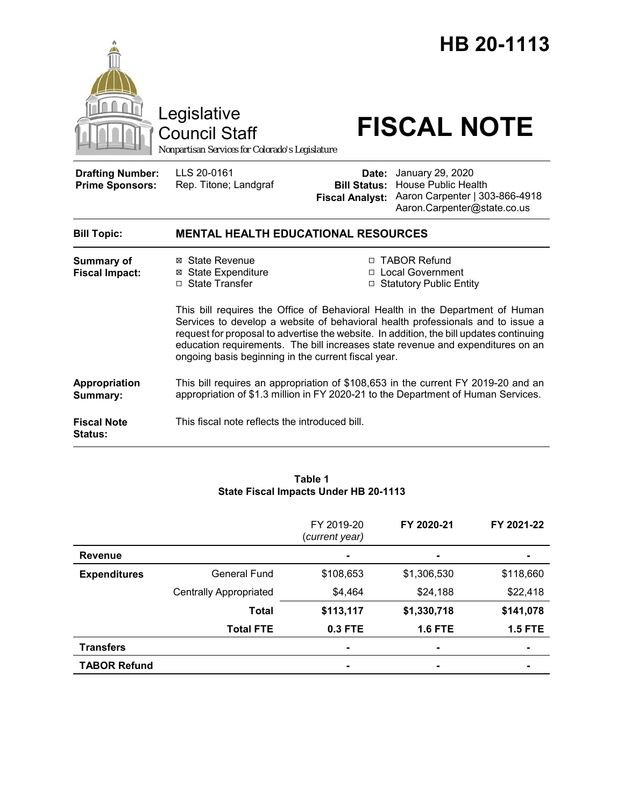

Council Staff

# Legislative<br>Council Staff **FISCAL NOTE**

*Nonpartisan Services for Colorado's Legislature*

**Drafting Number: Prime Sponsors:**

LLS 20-0161 Rep. Titone; Landgraf

**Date:** January 29, 2020 **Bill Status:** House Public Health **Fiscal Analyst:** Aaron Carpenter | 303-866-4918 Aaron.Carpenter@state.co.us

| <b>Bill Topic:</b>                   | <b>MENTAL HEALTH EDUCATIONAL RESOURCES</b>                                                                                                                                                                                                                                                                                                                                                            |                                                                   |  |  |
|--------------------------------------|-------------------------------------------------------------------------------------------------------------------------------------------------------------------------------------------------------------------------------------------------------------------------------------------------------------------------------------------------------------------------------------------------------|-------------------------------------------------------------------|--|--|
| Summary of<br><b>Fiscal Impact:</b>  | ⊠ State Revenue<br>⊠ State Expenditure<br>□ State Transfer                                                                                                                                                                                                                                                                                                                                            | □ TABOR Refund<br>□ Local Government<br>□ Statutory Public Entity |  |  |
|                                      | This bill requires the Office of Behavioral Health in the Department of Human<br>Services to develop a website of behavioral health professionals and to issue a<br>request for proposal to advertise the website. In addition, the bill updates continuing<br>education requirements. The bill increases state revenue and expenditures on an<br>ongoing basis beginning in the current fiscal year. |                                                                   |  |  |
| Appropriation<br>Summary:            | This bill requires an appropriation of \$108,653 in the current FY 2019-20 and an<br>appropriation of \$1.3 million in FY 2020-21 to the Department of Human Services.                                                                                                                                                                                                                                |                                                                   |  |  |
| <b>Fiscal Note</b><br><b>Status:</b> | This fiscal note reflects the introduced bill.                                                                                                                                                                                                                                                                                                                                                        |                                                                   |  |  |

#### **Table 1 State Fiscal Impacts Under HB 20-1113**

|                     |                               | FY 2019-20<br>(current year) | FY 2020-21     | FY 2021-22     |
|---------------------|-------------------------------|------------------------------|----------------|----------------|
| <b>Revenue</b>      |                               |                              |                |                |
| <b>Expenditures</b> | <b>General Fund</b>           | \$108,653                    | \$1,306,530    | \$118,660      |
|                     | <b>Centrally Appropriated</b> | \$4,464                      | \$24,188       | \$22,418       |
|                     | <b>Total</b>                  | \$113,117                    | \$1,330,718    | \$141,078      |
|                     | <b>Total FTE</b>              | 0.3 FTE                      | <b>1.6 FTE</b> | $1.5$ FTE      |
| <b>Transfers</b>    |                               | ۰                            | ۰              | $\blacksquare$ |
| <b>TABOR Refund</b> |                               | $\blacksquare$               | $\blacksquare$ |                |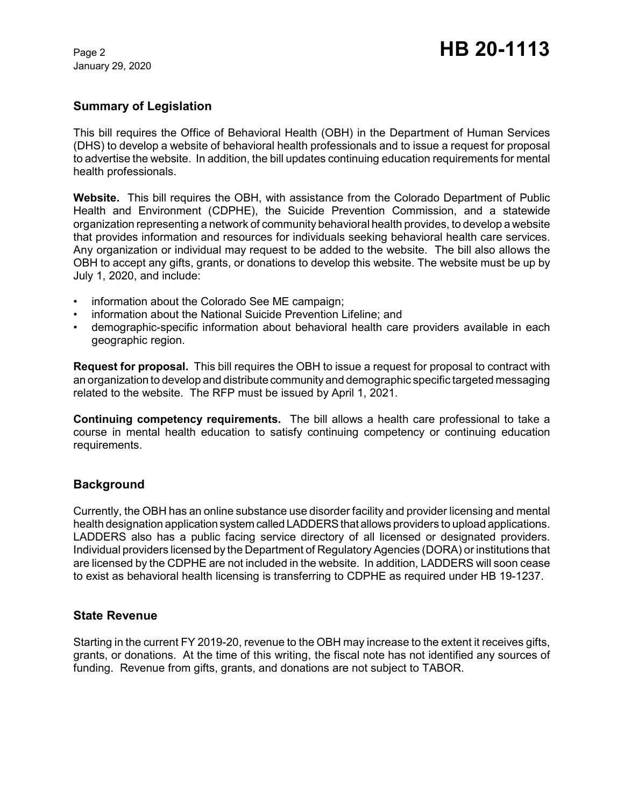January 29, 2020

## **Summary of Legislation**

This bill requires the Office of Behavioral Health (OBH) in the Department of Human Services (DHS) to develop a website of behavioral health professionals and to issue a request for proposal to advertise the website. In addition, the bill updates continuing education requirements for mental health professionals.

**Website.** This bill requires the OBH, with assistance from the Colorado Department of Public Health and Environment (CDPHE), the Suicide Prevention Commission, and a statewide organization representing a network of community behavioral health provides, to develop a website that provides information and resources for individuals seeking behavioral health care services. Any organization or individual may request to be added to the website. The bill also allows the OBH to accept any gifts, grants, or donations to develop this website. The website must be up by July 1, 2020, and include:

- information about the Colorado See ME campaign;
- information about the National Suicide Prevention Lifeline; and
- demographic-specific information about behavioral health care providers available in each geographic region.

**Request for proposal.** This bill requires the OBH to issue a request for proposal to contract with an organization to develop and distribute community and demographic specific targeted messaging related to the website. The RFP must be issued by April 1, 2021.

**Continuing competency requirements.** The bill allows a health care professional to take a course in mental health education to satisfy continuing competency or continuing education requirements.

## **Background**

Currently, the OBH has an online substance use disorder facility and provider licensing and mental health designation application system called LADDERS that allows providers to upload applications. LADDERS also has a public facing service directory of all licensed or designated providers. Individual providers licensed by the Department of Regulatory Agencies (DORA) or institutions that are licensed by the CDPHE are not included in the website. In addition, LADDERS will soon cease to exist as behavioral health licensing is transferring to CDPHE as required under HB 19-1237.

## **State Revenue**

Starting in the current FY 2019-20, revenue to the OBH may increase to the extent it receives gifts, grants, or donations. At the time of this writing, the fiscal note has not identified any sources of funding. Revenue from gifts, grants, and donations are not subject to TABOR.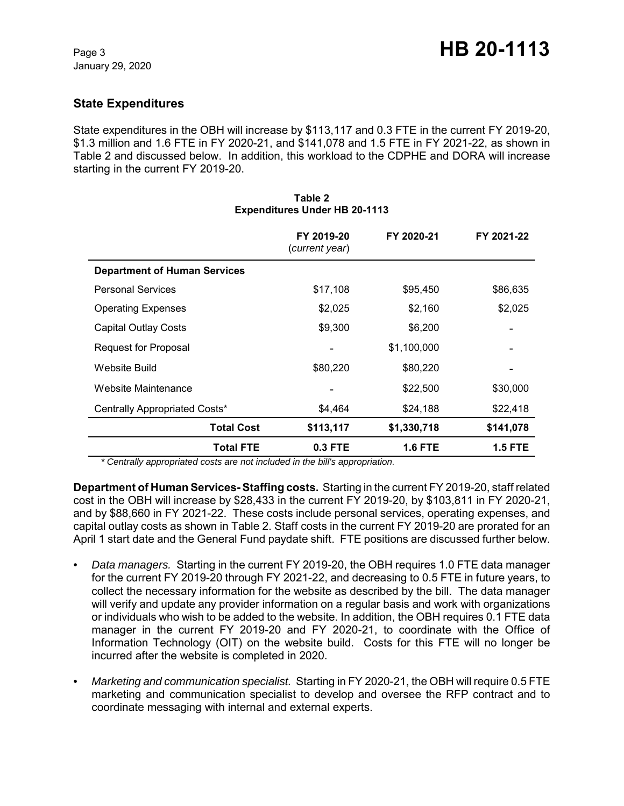# **State Expenditures**

State expenditures in the OBH will increase by \$113,117 and 0.3 FTE in the current FY 2019-20, \$1.3 million and 1.6 FTE in FY 2020-21, and \$141,078 and 1.5 FTE in FY 2021-22, as shown in Table 2 and discussed below. In addition, this workload to the CDPHE and DORA will increase starting in the current FY 2019-20.

|                                     | FY 2019-20<br>(current year) | FY 2020-21     | FY 2021-22 |
|-------------------------------------|------------------------------|----------------|------------|
| <b>Department of Human Services</b> |                              |                |            |
| <b>Personal Services</b>            | \$17,108                     | \$95,450       | \$86,635   |
| <b>Operating Expenses</b>           | \$2,025                      | \$2,160        | \$2,025    |
| <b>Capital Outlay Costs</b>         | \$9,300                      | \$6,200        |            |
| <b>Request for Proposal</b>         |                              | \$1,100,000    |            |
| Website Build                       | \$80,220                     | \$80,220       | ۰          |
| Website Maintenance                 | -                            | \$22,500       | \$30,000   |
| Centrally Appropriated Costs*       | \$4,464                      | \$24,188       | \$22,418   |
| <b>Total Cost</b>                   | \$113,117                    | \$1,330,718    | \$141,078  |
| <b>Total FTE</b>                    | 0.3 FTE                      | <b>1.6 FTE</b> | 1.5 FTE    |

#### **Table 2 Expenditures Under HB 20-1113**

 *\* Centrally appropriated costs are not included in the bill's appropriation.*

**Department of Human Services- Staffing costs.** Starting in the current FY 2019-20, staff related cost in the OBH will increase by \$28,433 in the current FY 2019-20, by \$103,811 in FY 2020-21, and by \$88,660 in FY 2021-22. These costs include personal services, operating expenses, and capital outlay costs as shown in Table 2. Staff costs in the current FY 2019-20 are prorated for an April 1 start date and the General Fund paydate shift. FTE positions are discussed further below.

- *Data managers.* Starting in the current FY 2019-20, the OBH requires 1.0 FTE data manager for the current FY 2019-20 through FY 2021-22, and decreasing to 0.5 FTE in future years, to collect the necessary information for the website as described by the bill. The data manager will verify and update any provider information on a regular basis and work with organizations or individuals who wish to be added to the website. In addition, the OBH requires 0.1 FTE data manager in the current FY 2019-20 and FY 2020-21, to coordinate with the Office of Information Technology (OIT) on the website build. Costs for this FTE will no longer be incurred after the website is completed in 2020.
- *Marketing and communication specialist.* Starting in FY 2020-21, the OBH will require 0.5 FTE marketing and communication specialist to develop and oversee the RFP contract and to coordinate messaging with internal and external experts.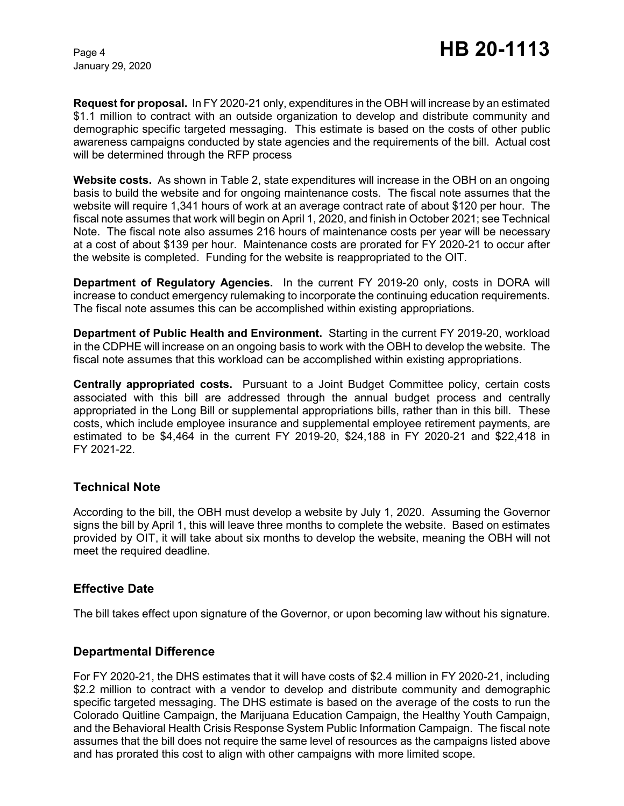January 29, 2020

**Request for proposal.** In FY 2020-21 only, expenditures in the OBH will increase by an estimated \$1.1 million to contract with an outside organization to develop and distribute community and demographic specific targeted messaging. This estimate is based on the costs of other public awareness campaigns conducted by state agencies and the requirements of the bill. Actual cost will be determined through the RFP process

**Website costs.** As shown in Table 2, state expenditures will increase in the OBH on an ongoing basis to build the website and for ongoing maintenance costs. The fiscal note assumes that the website will require 1,341 hours of work at an average contract rate of about \$120 per hour. The fiscal note assumes that work will begin on April 1, 2020, and finish in October 2021; see Technical Note. The fiscal note also assumes 216 hours of maintenance costs per year will be necessary at a cost of about \$139 per hour. Maintenance costs are prorated for FY 2020-21 to occur after the website is completed. Funding for the website is reappropriated to the OIT.

**Department of Regulatory Agencies.** In the current FY 2019-20 only, costs in DORA will increase to conduct emergency rulemaking to incorporate the continuing education requirements. The fiscal note assumes this can be accomplished within existing appropriations.

**Department of Public Health and Environment.** Starting in the current FY 2019-20, workload in the CDPHE will increase on an ongoing basis to work with the OBH to develop the website. The fiscal note assumes that this workload can be accomplished within existing appropriations.

**Centrally appropriated costs.** Pursuant to a Joint Budget Committee policy, certain costs associated with this bill are addressed through the annual budget process and centrally appropriated in the Long Bill or supplemental appropriations bills, rather than in this bill. These costs, which include employee insurance and supplemental employee retirement payments, are estimated to be \$4,464 in the current FY 2019-20, \$24,188 in FY 2020-21 and \$22,418 in FY 2021-22.

# **Technical Note**

According to the bill, the OBH must develop a website by July 1, 2020. Assuming the Governor signs the bill by April 1, this will leave three months to complete the website. Based on estimates provided by OIT, it will take about six months to develop the website, meaning the OBH will not meet the required deadline.

## **Effective Date**

The bill takes effect upon signature of the Governor, or upon becoming law without his signature.

# **Departmental Difference**

For FY 2020-21, the DHS estimates that it will have costs of \$2.4 million in FY 2020-21, including \$2.2 million to contract with a vendor to develop and distribute community and demographic specific targeted messaging. The DHS estimate is based on the average of the costs to run the Colorado Quitline Campaign, the Marijuana Education Campaign, the Healthy Youth Campaign, and the Behavioral Health Crisis Response System Public Information Campaign. The fiscal note assumes that the bill does not require the same level of resources as the campaigns listed above and has prorated this cost to align with other campaigns with more limited scope.